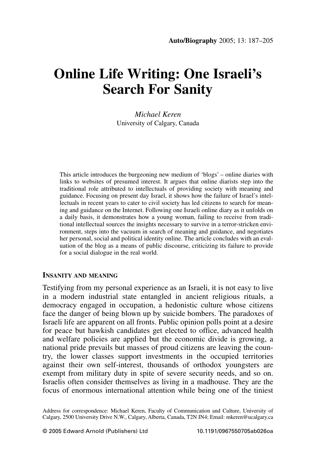# **Online Life Writing: One Israeli's Search For Sanity**

Michael Keren University of Calgary, Canada

This article introduces the burgeoning new medium of 'blogs' – online diaries with links to websites of presumed interest. It argues that online diarists step into the traditional role attributed to intellectuals of providing society with meaning and guidance. Focusing on present day Israel, it shows how the failure of Israel's intellectuals in recent years to cater to civil society has led citizens to search for meaning and guidance on the Internet. Following one Israeli online diary as it unfolds on a daily basis, it demonstrates how a young woman, failing to receive from traditional intellectual sources the insights necessary to survive in a terror-stricken environment, steps into the vacuum in search of meaning and guidance, and negotiates her personal, social and political identity online. The article concludes with an evaluation of the blog as a means of public discourse, criticizing its failure to provide for a social dialogue in the real world.

#### **INSANITY AND MEANING**

Testifying from my personal experience as an Israeli, it is not easy to live in a modern industrial state entangled in ancient religious rituals, a democracy engaged in occupation, a hedonistic culture whose citizens face the danger of being blown up by suicide bombers. The paradoxes of Israeli life are apparent on all fronts. Public opinion polls point at a desire for peace but hawkish candidates get elected to office, advanced health and welfare policies are applied but the economic divide is growing, a national pride prevails but masses of proud citizens are leaving the country, the lower classes support investments in the occupied territories against their own self-interest, thousands of orthodox voungsters are exempt from military duty in spite of severe security needs, and so on. Israelis often consider themselves as living in a madhouse. They are the focus of enormous international attention while being one of the tiniest

Address for correspondence: Michael Keren, Faculty of Communication and Culture, University of Calgary, 2500 University Drive N.W., Calgary, Alberta, Canada, T2N IN4; Email: mkeren@ucalgary.ca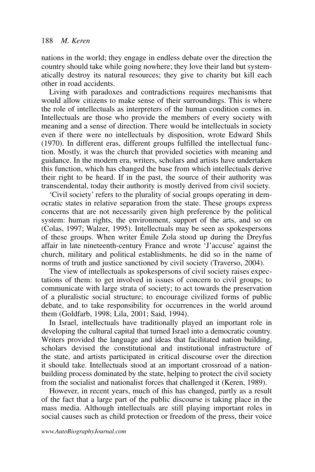nations in the world; they engage in endless debate over the direction the country should take while going nowhere; they love their land but system-<br>atically destroy its natural resources; they give to charity but kill each other in road accidents.

Living with paradoxes and contradictions requires mechanisms that<br>would allow citizens to make sense of their surroundings. This is where the role of intellectuals as interpreters of the human condition comes in. Intellectuals are those who provide the members of every society with meaning and a sense of direction. There would be intellectuals in society even if there were no intellectuals by disposition, wrote Edward Shils (1970). In different eras, different groups fulfilled the intellectual function. Mostly, it was the church that provided societies with meaning and guidance. In the modern era, writers, scholars and artists have undertaken this function, which has changed the base from which intellectuals derive their right to be heard. If in the past, the source of their authority was transcendental, today their authority is mostly derived from civil society.

'Civil society' refers to the plurality of social groups operating in democratic states in relative separation from the state. These groups express concerns that are not necessarily given high preference by the political system: human rights, the environment, support of the arts, and so on (Colas, 1997; Walzer, 1995). Intellectuals may be seen as spokespersons of these groups. When writer Émile Zola stood up during the Dreyfus affair in late nineteenth-century France and wrote 'J'accuse' against the church, military and political establishments, he did so in the name of norms of truth and justice sanctioned by civil society (Traverso, 2004).

The view of intellectuals as spokespersons of civil society raises expectations of them: to get involved in issues of concern to civil groups; to communicate with large strata of society; to act towards the preservation of a pluralistic social structure; to encourage civilized forms of public debate, and to take responsibility for occurrences in the world around them (Goldfarb, 1998; Lila, 2001; Said, 1994).

In Israel, intellectuals have traditionally played an important role in developing the cultural capital that turned Israel into a democratic country. Writers provided the language and ideas that facilitated nation building, scholars devised the constitutional and institutional infrastructure of the state, and artists participated in critical discourse over the direction it should take. Intellectuals stood at an important crossroad of a nationbuilding process dominated by the state, helping to protect the civil society from the socialist and nationalist forces that challenged it (Keren, 1989).

However, in recent years, much of this has changed, partly as a result of the fact that a large part of the public discourse is taking place in the mass media. Although intellectuals are still playing important roles in social causes such as child protection or freedom of the press, their voice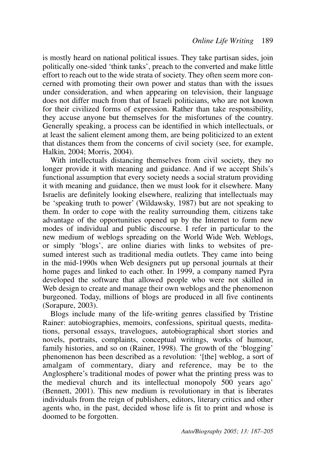is mostly heard on national political issues. They take partisan sides, join politically one-sided 'think tanks', preach to the converted and make little effort to reach out to the wide strata of society. They often seem more concerned with promoting their own power and status than with the issues under consideration, and when appearing on television, their language does not differ much from that of Israeli politicians, who are not known for their civilized forms of expression. Rather than take responsibility, they accuse anyone but themselves for the misfortunes of the country. Generally speaking, a process can be identified in which intellectuals, or at least the salient element among them, are being politicized to an extent that distances them from the concerns of civil society (see, for example, Halkin, 2004; Morris, 2004).

With intellectuals distancing themselves from civil society, they no longer provide it with meaning and guidance. And if we accept Shils's functional assumption that every society needs a social stratum providing it with meaning and guidance, then we must look for it elsewhere. Many Israelis are definitely looking elsewhere, realizing that intellectuals may be 'speaking truth to power' (Wildawsky, 1987) but are not speaking to them. In order to cope with the reality surrounding them, citizens take advantage of the opportunities opened up by the Internet to form new modes of individual and public discourse. I refer in particular to the new medium of weblogs spreading on the World Wide Web. Weblogs, or simply 'blogs', are online diaries with links to websites of presumed interest such as traditional media outlets. They came into being in the mid-1990s when Web designers put up personal journals at their<br>home pages and linked to each other. In 1999, a company named Pyra developed the software that allowed people who were not skilled in Web design to create and manage their own weblogs and the phenomenon burgeoned. Today, millions of blogs are produced in all five continents  $(Soranure, 2003)$ .

Blogs include many of the life-writing genres classified by Tristine Rainer: autobiographies, memoirs, confessions, spiritual quests, meditations, personal essays, travelogues, autobiographical short stories and novels, portraits, complaints, conceptual writings, works of humour, family histories, and so on (Rainer, 1998). The growth of the 'blogging' phenomenon has been described as a revolution: '[the] weblog, a sort of amalgam of commentary, diary and reference, may be to the Anglosphere's traditional modes of power what the printing press was to the medieval church and its intellectual monopoly 500 years ago' (Bennett, 2001). This new medium is revolutionary in that is liberates individuals from the reign of publishers, editors, literary critics and other agents who, in the past, decided whose life is fit to print and whose is doomed to be forgotten.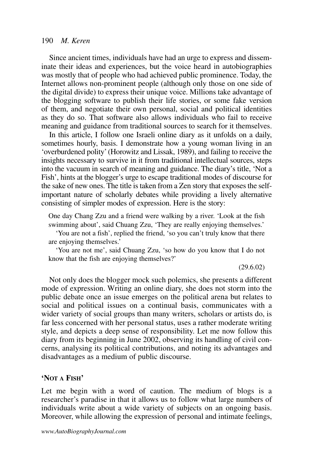Since ancient times, individuals have had an urge to express and disseminate their ideas and experiences, but the voice heard in autobiographies was mostly that of people who had achieved public prominence. Today, the Internet allows non-prominent people (although only those on one side of the digital divide) to express their unique voice. Millions take advantage of the blogging software to publish their life stories, or some fake version of them, and negotiate their own personal, social and political identities as they do so. That software also allows individuals who fail to receive meaning and guidance from traditional sources to search for it themselves.

In this article, I follow one Israeli online diary as it unfolds on a daily, sometimes hourly, basis. I demonstrate how a young woman living in an 'overburdened polity' (Horowitz and Lissak, 1989), and failing to receive the insights necessary to survive in it from traditional intellectual sources, steps into the vacuum in search of meaning and guidance. The diary's title, 'Not a Fish', hints at the blogger's urge to escape traditional modes of discourse for the sake of new ones. The title is taken from a Zen story that exposes the selfimportant nature of scholarly debates while providing a lively alternative consisting of simpler modes of expression. Here is the story:

One day Chang Zzu and a friend were walking by a river. 'Look at the fish swimming about', said Chuang Zzu, 'They are really enjoying themselves.'

'You are not a fish', replied the friend, 'so you can't truly know that there are enjoying themselves.

'You are not me', said Chuang Zzu, 'so how do you know that I do not know that the fish are enjoying themselves?'

 $(29.6.02)$ 

Not only does the blogger mock such polemics, she presents a different mode of expression. Writing an online diary, she does not storm into the public debate once an issue emerges on the political arena but relates to social and political issues on a continual basis, communicates with a wider variety of social groups than many writers, scholars or artists do, is far less concerned with her personal status, uses a rather moderate writing style, and depicts a deep sense of responsibility. Let me now follow this diary from its beginning in June 2002, observing its handling of civil concerns, analysing its political contributions, and noting its advantages and disadvantages as a medium of public discourse.

## 'NOT A FISH'

Let me begin with a word of caution. The medium of blogs is a researcher's paradise in that it allows us to follow what large numbers of individuals write about a wide variety of subjects on an ongoing basis. Moreover, while allowing the expression of personal and intimate feelings,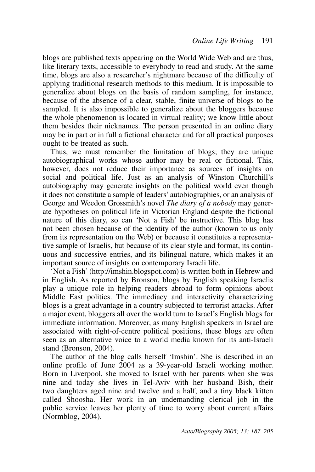blogs are published texts appearing on the World Wide Web and are thus, like literary texts, accessible to everybody to read and study. At the same time, blogs are also a researcher's nightmare because of the difficulty of applying traditional research methods to this medium. It is impossible to generalize about blogs on the basis of random sampling, for instance, because of the absence of a clear, stable, finite universe of blogs to be sampled. It is also impossible to generalize about the bloggers because the whole phenomenon is located in virtual reality; we know little about them besides their nicknames. The person presented in an online diary may be in part or in full a fictional character and for all practical purposes ought to be treated as such.

Thus, we must remember the limitation of blogs; they are unique autobiographical works whose author may be real or fictional. This, however, does not reduce their importance as sources of insights on social and political life. Just as an analysis of Winston Churchill's autobiography may generate insights on the political world even though it does not constitute a sample of leaders' autobiographies, or an analysis of George and Weedon Grossmith's novel *The diary of a nobody* may generate hypotheses on political life in Victorian England despite the fictional nature of this diary, so can 'Not a Fish' be instructive. This blog has not been chosen because of the identity of the author (known to us only from its representation on the Web) or because it constitutes a representative sample of Israelis, but because of its clear style and format, its continuous and successive entries, and its bilingual nature, which makes it an important source of insights on contemporary Israeli life.

Not a Fish' (http://imshin.blogspot.com) is written both in Hebrew and in English. As reported by Bronson, blogs by English speaking Israelis play a unique role in helping readers abroad to form opinions about Middle East politics. The immediacy and interactivity characterizing blogs is a great advantage in a country subjected to terrorist attacks. After a major event, bloggers all over the world turn to Israel's English blogs for immediate information. Moreover, as many English speakers in Israel are associated with right-of-centre political positions, these blogs are often seen as an alternative voice to a world media known for its anti-Israeli stand (Bronson, 2004).

The author of the blog calls herself 'Imshin'. She is described in an online profile of June 2004 as a 39-year-old Israeli working mother. Born in Liverpool, she moved to Israel with her parents when she was nine and today she lives in Tel-Aviv with her husband Bish, their two daughters aged nine and twelve and a half, and a tiny black kitten called Shoosha. Her work in an undemanding clerical job in the public service leaves her plenty of time to worry about current affairs (Normblog,  $2004$ ).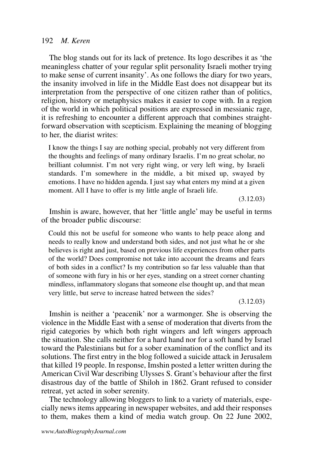#### 192 M. Keren

The blog stands out for its lack of pretence. Its logo describes it as 'the meaningless chatter of your regular split personality Israeli mother trying to make sense of current insanity'. As one follows the diary for two years, the insanity involved in life in the Middle East does not disappear but its interpretation from the perspective of one citizen rather than of politics, religion, history or metaphysics makes it easier to cope with. In a region of the world in which political positions are expressed in messianic rage, it is refreshing to encounter a different approach that combines straightforward observation with scepticism. Explaining the meaning of blogging to her, the diarist writes:

I know the things I say are nothing special, probably not very different from the thoughts and feelings of many ordinary Israelis. I'm no great scholar, no brilliant columnist. I'm not very right wing, or very left wing, by Israeli standards. I'm somewhere in the middle, a bit mixed up, swayed by emotions. I have no hidden agenda. I just say what enters my mind at a given moment. All I have to offer is my little angle of Israeli life.

 $(3.12.03)$ 

Imshin is aware, however, that her 'little angle' may be useful in terms of the broader public discourse:

Could this not be useful for someone who wants to help peace along and needs to really know and understand both sides, and not just what he or she believes is right and just, based on previous life experiences from other parts of the world? Does compromise not take into account the dreams and fears of both sides in a conflict? Is my contribution so far less valuable than that of someone with fury in his or her eyes, standing on a street corner chanting mindless, inflammatory slogans that someone else thought up, and that mean very little, but serve to increase hatred between the sides?

 $(3.12.03)$ 

Imshin is neither a 'peacenik' nor a warmonger. She is observing the violence in the Middle East with a sense of moderation that diverts from the rigid categories by which both right wingers and left wingers approach the situation. She calls neither for a hard hand nor for a soft hand by Israel toward the Palestinians but for a sober examination of the conflict and its solutions. The first entry in the blog followed a suicide attack in Jerusalem that killed 19 people. In response, Imshin posted a letter written during the American Civil War describing Ulysses S. Grant's behaviour after the first disastrous day of the battle of Shiloh in 1862. Grant refused to consider retreat, yet acted in sober serenity.

The technology allowing bloggers to link to a variety of materials, especially news items appearing in newspaper websites, and add their responses to them, makes them a kind of media watch group. On 22 June 2002,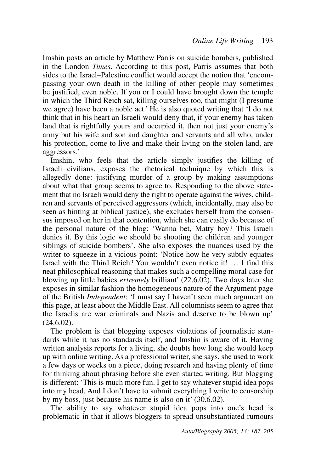Imshin posts an article by Matthew Parris on suicide bombers, published in the London Times. According to this post, Parris assumes that both sides to the Israel-Palestine conflict would accept the notion that 'encompassing your own death in the killing of other people may sometimes be justified, even noble. If you or I could have brought down the temple in which the Third Reich sat, killing ourselves too, that might (I presume we agree) have been a noble act.' He is also quoted writing that 'I do not think that in his heart an Israeli would deny that, if your enemy has taken land that is rightfully yours and occupied it, then not just your enemy's army but his wife and son and daughter and servants and all who, under his protection, come to live and make their living on the stolen land, are aggressors.'

Imshin, who feels that the article simply justifies the killing of Israeli civilians, exposes the rhetorical technique by which this is allegedly done: justifying murder of a group by making assumptions about what that group seems to agree to. Responding to the above statement that no Israeli would deny the right to operate against the wives, children and servants of perceived aggressors (which, incidentally, may also be seen as hinting at biblical justice), she excludes herself from the consensus imposed on her in that contention, which she can easily do because of the personal nature of the blog: 'Wanna bet, Matty boy? This Israeli denies it. By this logic we should be shooting the children and younger siblings of suicide bombers'. She also exposes the nuances used by the writer to squeeze in a vicious point: 'Notice how he very subtly equates Israel with the Third Reich? You wouldn't even notice it!  $\ldots$  I find this neat philosophical reasoning that makes such a compelling moral case for blowing up little babies *extremely* brilliant'  $(22.6.02)$ . Two days later she exposes in similar fashion the homogeneous nature of the Argument page of the British *Independent*: 'I must say I haven't seen much argument on this page, at least about the Middle East. All columnists seem to agree that the Israelis are war criminals and Nazis and deserve to be blown up'  $(24.6.02)$ .

The problem is that blogging exposes violations of journalistic standards while it has no standards itself, and Imshin is aware of it. Having written analysis reports for a living, she doubts how long she would keep up with online writing. As a professional writer, she says, she used to work a few days or weeks on a piece, doing research and having plenty of time for thinking about phrasing before she even started writing. But blogging is different. This is much more fun. I get to say whatever stupid idea pops into my head. And I don't have to submit everything I write to censorship by my boss, just because his name is also on it'  $(30.6.02)$ .

The ability to say whatever stupid idea pops into one's head is problematic in that it allows bloggers to spread unsubstantiated rumours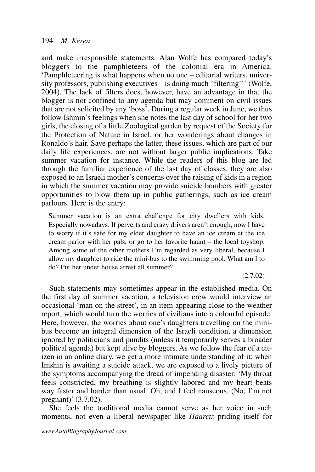and make irresponsible statements. Alan Wolfe has compared today's bloggers to the pamphleteers of the colonial era in America. 'Pamphleteering is what happens when no one – editorial writers, university professors, publishing executives – is doing much "filtering"' (Wolfe, 2004). The lack of filters does, however, have an advantage in that the blogger is not confined to any agenda but may comment on civil issues that are not solicited by any 'boss'. During a regular week in June, we thus follow Ishmin's feelings when she notes the last day of school for her two girls, the closing of a little Zoological garden by request of the Society for the Protection of Nature in Israel, or her wonderings about changes in Ronaldo's hair. Save perhaps the latter, these issues, which are part of our daily life experiences, are not without larger public implications. Take summer vacation for instance. While the readers of this blog are led through the familiar experience of the last day of classes, they are also exposed to an Israeli mother's concerns over the raising of kids in a region in which the summer vacation may provide suicide bombers with greater opportunities to blow them up in public gatherings, such as ice cream parlours. Here is the entry:

Summer vacation is an extra challenge for city dwellers with kids. Especially nowadays. If perverts and crazy drivers aren't enough, now I have to worry if it's safe for my elder daughter to have an ice cream at the ice cream parlor with her pals, or go to her favorite haunt  $-$  the local toyshop. Among some of the other mothers I'm regarded as very liberal, because I allow my daughter to ride the mini-bus to the swimming pool. What am I to do? Put her under house arrest all summer?

 $(2.7.02)$ 

Such statements may sometimes appear in the established media. On the first day of summer vacation, a television crew would interview an occasional 'man on the street', in an item appearing close to the weather report, which would turn the worries of civilians into a colourful episode. Here, however, the worries about one's daughters travelling on the minibus become an integral dimension of the Israeli condition, a dimension ignored by politicians and pundits (unless it temporarily serves a broader political agenda) but kept alive by bloggers. As we follow the fear of a citizen in an online diary, we get a more intimate understanding of it: when Imshin is awaiting a suicide attack, we are exposed to a lively picture of the symptoms accompanying the dread of impending disaster: 'My throat feels constricted, my breathing is slightly labored and my heart beats way faster and harder than usual. Oh, and I feel nauseous. (No, I'm not pregnant)'  $(3.7.02)$ .

She feels the traditional media cannot serve as her voice in such moments, not even a liberal newspaper like *Haaretz* priding itself for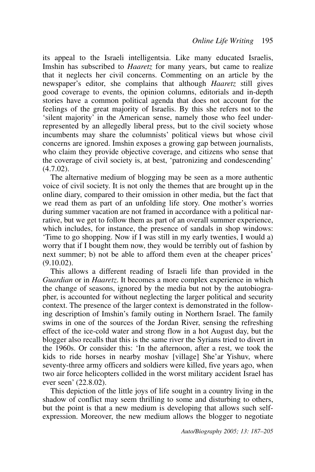its appeal to the Israeli intelligentsia. Like many educated Israelis, Imshin has subscribed to *Haaretz* for many years, but came to realize that it neglects her civil concerns. Commenting on an article by the newspaper's editor, she complains that although *Haaretz* still gives good coverage to events, the opinion columns, editorials and in-depth stories have a common political agenda that does not account for the feelings of the great majority of Israelis. By this she refers not to the 'silent majority' in the American sense, namely those who feel underrepresented by an allegedly liberal press, but to the civil society whose incumbents may share the columnists' political views but whose civil concerns are ignored. Imshin exposes a growing gap between journalists, who claim they provide objective coverage, and citizens who sense that the coverage of civil society is, at best, 'patronizing and condescending'  $(4.7.02)$ .

The alternative medium of blogging may be seen as a more authentic voice of civil society. It is not only the themes that are brought up in the online diary, compared to their omission in other media, but the fact that we read them as part of an unfolding life story. One mother's worries during summer vacation are not framed in accordance with a political narrative, but we get to follow them as part of an overall summer experience, which includes, for instance, the presence of sandals in shop windows: Time to go shopping. Now if I was still in my early twenties, I would a) worry that if I bought them now, they would be terribly out of fashion by next summer; b) not be able to afford them even at the cheaper prices'  $(9.10.02)$ .

This allows a different reading of Israeli life than provided in the Guardian or in *Haaretz*. It becomes a more complex experience in which the change of seasons, ignored by the media but not by the autobiograthe change of search, generally, selecting the larger political and security context. The presence of the larger context is demonstrated in the following description of Imshin's family outing in Northern Israel. The family swims in one of the sources of the Jordan River, sensing the refreshing effect of the ice-cold water and strong flow in a hot August day, but the blogger also recalls that this is the same river the Syrians tried to divert in the 1960s. Or consider this: 'In the afternoon, after a rest, we took the kids to ride horses in nearby moshav [village] She'ar Yishuv, where seventy-three army officers and soldiers were killed, five years ago, when two air force helicopters collided in the worst military accident Israel has ever seen' (22.8.02).

This depiction of the little joys of life sought in a country living in the shadow of conflict may seem thrilling to some and disturbing to others, but the point is that a new medium is developing that allows such selfexpression. Moreover, the new medium allows the blogger to negotiate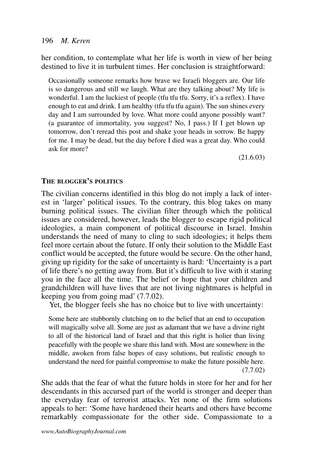her condition, to contemplate what her life is worth in view of her being destined to live it in turbulent times. Her conclusion is straightforward:

Occasionally someone remarks how brave we Israeli bloggers are. Our life is so dangerous and still we laugh. What are they talking about? My life is wonderful. I am the luckiest of people (tfu tfu tfu. Sorry, it's a reflex). I have enough to eat and drink. I am healthy (tfu tfu tfu again). The sun shines every day and I am surrounded by love. What more could anyone possibly want? (a guarantee of immortality, you suggest? No, I pass.) If I get blown up tomorrow, don't reread this post and shake your heads in sorrow. Be happy for me. I may be dead, but the day before I died was a great day. Who could ask for more?

 $(21.6.03)$ 

## THE BLOGGER'S POLITICS

The civilian concerns identified in this blog do not imply a lack of interest in 'larger' political issues. To the contrary, this blog takes on many burning political issues. The civilian filter through which the political issues are considered, however, leads the blogger to escape rigid political ideologies, a main component of political discourse in Israel. Imshin understands the need of many to cling to such ideologies; it helps them feel more certain about the future. If only their solution to the Middle East conflict would be accepted, the future would be secure. On the other hand, giving up rigidity for the sake of uncertainty is hard: 'Uncertainty is a part of life there's no getting away from. But it's difficult to live with it staring you in the face all the time. The belief or hope that your children and grandchildren will have lives that are not living nightmares is helpful in keeping you from going mad'  $(7.7.02)$ .

Yet, the blogger feels she has no choice but to live with uncertainty:

Some here are stubbornly clutching on to the belief that an end to occupation will magically solve all. Some are just as adamant that we have a divine right to all of the historical land of Israel and that this right is holier than living peacefully with the people we share this land with. Most are somewhere in the middle, awoken from false hopes of easy solutions, but realistic enough to understand the need for painful compromise to make the future possible here.  $(7.7.02)$ 

She adds that the fear of what the future holds in store for her and for her descendants in this accursed part of the world is stronger and deeper than the everyday fear of terrorist attacks. Yet none of the firm solutions appeals to her: 'Some have hardened their hearts and others have become remarkably compassionate for the other side. Compassionate to a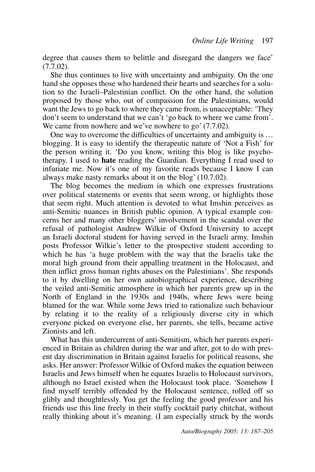degree that causes them to belittle and disregard the dangers we face'  $(7.7.02)$ .

She thus continues to live with uncertainty and ambiguity. On the one hand she opposes those who hardened their hearts and searches for a solution to the Israeli-Palestinian conflict. On the other hand, the solution proposed by those who, out of compassion for the Palestinians, would want the Jews to go back to where they came from, is unacceptable: 'They don't seem to understand that we can't 'go back to where we came from'. We came from nowhere and we've nowhere to go'  $(7.7.02)$ .

One way to overcome the difficulties of uncertainty and ambiguity is ... blogging. It is easy to identify the therapeutic nature of 'Not a Fish' for the person writing it. 'Do you know, writing this blog is like psychotherapy. I used to **hate** reading the Guardian. Everything I read used to infuriate me. Now it's one of my favorite reads because I know I can always make nasty remarks about it on the blog'  $(10.7.02)$ .

The blog becomes the medium in which one expresses frustrations over political statements or events that seem wrong, or highlights those that seem right. Much attention is devoted to what Imshin perceives as anti-Semitic nuances in British public opinion. A typical example concerns her and many other bloggers' involvement in the scandal over the refusal of pathologist Andrew Wilkie of Oxford University to accept an Israeli doctoral student for having served in the Israeli army. Imshin posts Professor Wilkie's letter to the prospective student according to which he has 'a huge problem with the way that the Israelis take the moral high ground from their appalling treatment in the Holocaust, and then inflict gross human rights abuses on the Palestinians'. She responds to it by dwelling on her own autobiographical experience, describing the veiled anti-Semitic atmosphere in which her parents grew up in the North of England in the 1930s and 1940s, where Jews were being blamed for the war. While some Jews tried to rationalize such behaviour by relating it to the reality of a religiously diverse city in which everyone picked on everyone else, her parents, she tells, became active Zionists and left

What has this undercurrent of anti-Semitism, which her parents experienced in Britain as children during the war and after, got to do with present day discrimination in Britain against Israelis for political reasons, she asks. Her answer: Professor Wilkie of Oxford makes the equation between Israelis and Jews himself when he equates Israelis to Holocaust survivors, although no Israel existed when the Holocaust took place. 'Somehow I find myself terribly offended by the Holocaust sentence, rolled off so glibly and thoughtlessly. You get the feeling the good professor and his friends use this line freely in their stuffy cocktail party chitchat, without really thinking about it's meaning. (I am especially struck by the words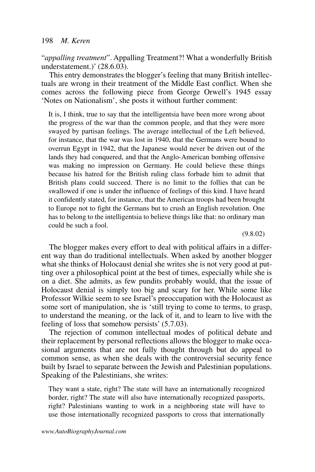"appalling treatment". Appalling Treatment?! What a wonderfully British understatement.)' (28.6.03).

This entry demonstrates the blogger's feeling that many British intellectuals are wrong in their treatment of the Middle East conflict. When she comes across the following piece from George Orwell's 1945 essay 'Notes on Nationalism', she posts it without further comment:

It is, I think, true to say that the intelligentsia have been more wrong about the progress of the war than the common people, and that they were more swayed by partisan feelings. The average intellectual of the Left believed, for instance, that the war was lost in 1940, that the Germans were bound to overrun Egypt in 1942, that the Japanese would never be driven out of the lands they had conquered, and that the Anglo-American bombing offensive was making no impression on Germany. He could believe these things because his hatred for the British ruling class forbade him to admit that British plans could succeed. There is no limit to the follies that can be swallowed if one is under the influence of feelings of this kind. I have heard it confidently stated, for instance, that the American troops had been brought to Europe not to fight the Germans but to crush an English revolution. One has to belong to the intelligentsia to believe things like that: no ordinary man could be such a fool

 $(9.8.02)$ 

The blogger makes every effort to deal with political affairs in a different way than do traditional intellectuals. When asked by another blogger what she thinks of Holocaust denial she writes she is not very good at putting over a philosophical point at the best of times, especially while she is on a diet. She admits, as few pundits probably would, that the issue of Holocaust denial is simply too big and scary for her. While some like Professor Wilkie seem to see Israel's preoccupation with the Holocaust as some sort of manipulation, she is 'still trying to come to terms, to grasp, to understand the meaning, or the lack of it, and to learn to live with the feeling of loss that somehow persists' (5.7.03).

The rejection of common intellectual modes of political debate and their replacement by personal reflections allows the blogger to make occasional arguments that are not fully thought through but do appeal to common sense, as when she deals with the controversial security fence built by Israel to separate between the Jewish and Palestinian populations. Speaking of the Palestinians, she writes:

They want a state, right? The state will have an internationally recognized border, right? The state will also have internationally recognized passports, right? Palestinians wanting to work in a neighboring state will have to use those internationally recognized passports to cross that internationally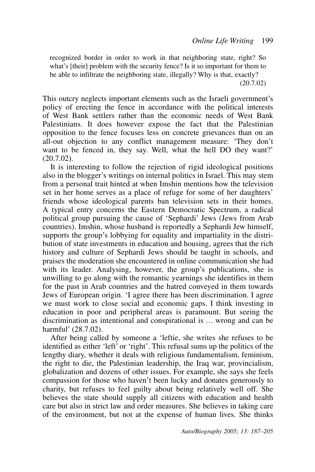recognized border in order to work in that neighboring state, right? So what's [their] problem with the security fence? Is it so important for them to be able to infiltrate the neighboring state, illegally? Why is that, exactly?  $(20.7.02)$ 

This outcry neglects important elements such as the Israeli government's policy of erecting the fence in accordance with the political interests of West Bank settlers rather than the economic needs of West Bank Palestinians. It does however expose the fact that the Palestinian opposition to the fence focuses less on concrete grievances than on an all-out objection to any conflict management measure: 'They don't want to be fenced in, they say. Well, what the hell DO they want?'  $(20.7.02)$ .

It is interesting to follow the rejection of rigid ideological positions also in the blogger's writings on internal politics in Israel. This may stem from a personal trait hinted at when Imshin mentions how the television set in her home serves as a place of refuge for some of her daughters' friends whose ideological parents ban television sets in their homes. A typical entry concerns the Eastern Democratic Spectrum, a radical political group pursuing the cause of 'Sephardi' Jews (Jews from Arab countries). Imshin, whose husband is reportedly a Sephardi Jew himself, supports the group's lobbying for equality and impartiality in the distribution of state investments in education and housing, agrees that the rich history and culture of Sephardi Jews should be taught in schools, and praises the moderation she encountered in online communication she had with its leader. Analysing, however, the group's publications, she is unwilling to go along with the romantic yearnings she identifies in them for the past in Arab countries and the hatred conveyed in them towards Jews of European origin. 'I agree there has been discrimination. I agree we must work to close social and economic gaps. I think investing in education in poor and peripheral areas is paramount. But seeing the discrimination as intentional and conspirational is ... wrong and can be harmful' (28.7.02).

After being called by someone a 'leftie, she writes she refuses to be identified as either 'left' or 'right'. This refusal sums up the politics of the lengthy diary, whether it deals with religious fundamentalism, feminism, the right to die, the Palestinian leadership, the Iraq war, provincialism, globalization and dozens of other issues. For example, she says she feels compassion for those who haven't been lucky and donates generously to charity, but refuses to feel guilty about being relatively well off. She believes the state should supply all citizens with education and health care but also in strict law and order measures. She believes in taking care of the environment, but not at the expense of human lives. She thinks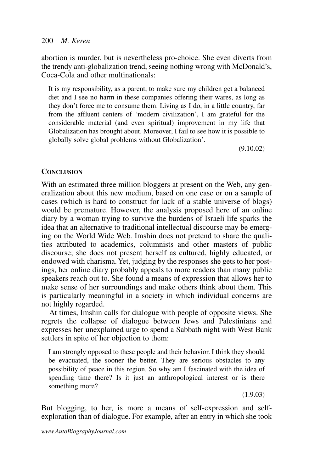abortion is murder, but is nevertheless pro-choice. She even diverts from the trendy anti-globalization trend, seeing nothing wrong with McDonald's, Coca-Cola and other multinationals:

It is my responsibility, as a parent, to make sure my children get a balanced diet and I see no harm in these companies offering their wares, as long as they don't force me to consume them. Living as I do, in a little country, far from the affluent centers of 'modern civilization', I am grateful for the considerable material (and even spiritual) improvement in my life that Globalization has brought about. Moreover, I fail to see how it is possible to globally solve global problems without Globalization'.

 $(9.10.02)$ 

## **CONCLUSION**

With an estimated three million bloggers at present on the Web, any generalization about this new medium, based on one case or on a sample of cases (which is hard to construct for lack of a stable universe of blogs) would be premature. However, the analysis proposed here of an online diary by a woman trying to survive the burdens of Israeli life sparks the idea that an alternative to traditional intellectual discourse may be emerging on the World Wide Web. Imshin does not pretend to share the qualities attributed to academics, columnists and other masters of public discourse; she does not present herself as cultured, highly educated, or endowed with charisma. Yet, judging by the responses she gets to her postings, her online diary probably appeals to more readers than many public speakers reach out to. She found a means of expression that allows her to make sense of her surroundings and make others think about them. This is particularly meaningful in a society in which individual concerns are not highly regarded.

At times, Imshin calls for dialogue with people of opposite views. She regrets the collapse of dialogue between Jews and Palestinians and expresses her unexplained urge to spend a Sabbath night with West Bank settlers in spite of her objection to them:

I am strongly opposed to these people and their behavior. I think they should be evacuated, the sooner the better. They are serious obstacles to any possibility of peace in this region. So why am I fascinated with the idea of spending time there? Is it just an anthropological interest or is there something more?

 $(1.9.03)$ 

But blogging, to her, is more a means of self-expression and selfexploration than of dialogue. For example, after an entry in which she took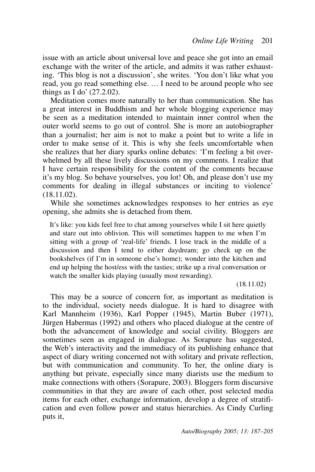issue with an article about universal love and peace she got into an email exchange with the writer of the article, and admits it was rather exhausting. 'This blog is not a discussion', she writes. 'You don't like what you read, you go read something else. ... I need to be around people who see things as  $\overline{I}$  do' (27.2.02).

Meditation comes more naturally to her than communication. She has a great interest in Buddhism and her whole blogging experience may be seen as a meditation intended to maintain inner control when the outer world seems to go out of control. She is more an autobiographer than a journalist; her aim is not to make a point but to write a life in order to make sense of it. This is why she feels uncomfortable when she realizes that her diary sparks online debates: 'I'm feeling a bit overwhelmed by all these lively discussions on my comments. I realize that I have certain responsibility for the content of the comments because it's my blog. So behave yourselves, you lot! Oh, and please don't use my comments for dealing in illegal substances or inciting to violence'  $(18.11.02)$ .

While she sometimes acknowledges responses to her entries as eye opening, she admits she is detached from them.

It's like: you kids feel free to chat among yourselves while I sit here quietly and stare out into oblivion. This will sometimes happen to me when I'm sitting with a group of 'real-life' friends. I lose track in the middle of a discussion and then I tend to either daydream; go check up on the bookshelves (if I'm in someone else's home); wonder into the kitchen and end up helping the host/ess with the tasties; strike up a rival conversation or watch the smaller kids playing (usually most rewarding).

 $(18.11.02)$ 

This may be a source of concern for, as important as meditation is to the individual, society needs dialogue. It is hard to disagree with Karl Mannheim (1936), Karl Popper (1945), Martin Buber (1971), Jürgen Habermas  $(1992)$  and others who placed dialogue at the centre of both the advancement of knowledge and social civility. Bloggers are sometimes seen as engaged in dialogue. As Sorapure has suggested, the Web's interactivity and the immediacy of its publishing enhance that aspect of diary writing concerned not with solitary and private reflection, but with communication and community. To her, the online diary is anything but private, especially since many diarists use the medium to make connections with others (Sorapure, 2003). Bloggers form discursive communities in that they are aware of each other, post selected media items for each other, exchange information, develop a degree of stratification and even follow power and status hierarchies. As Cindy Curling puts it.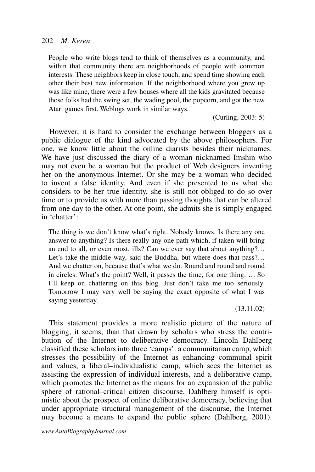## 202 M. Keren

People who write blogs tend to think of themselves as a community, and within that community there are neighborhoods of people with common interests. These neighbors keep in close touch, and spend time showing each other their best new information. If the neighborhood where you grew up was like mine, there were a few houses where all the kids gravitated because those folks had the swing set, the wading pool, the popcorn, and got the new Atari games first. Weblogs work in similar ways.

(Curling, 2003: 5)

However, it is hard to consider the exchange between bloggers as a public dialogue of the kind advocated by the above philosophers. For one, we know little about the online diarists besides their nicknames. We have just discussed the diary of a woman nicknamed Imshin who may not even be a woman but the product of Web designers inventing her on the anonymous Internet. Or she may be a woman who decided to invent a false identity. And even if she presented to us what she considers to be her true identity, she is still not obliged to do so over time or to provide us with more than passing thoughts that can be altered from one day to the other. At one point, she admits she is simply engaged in 'chatter'<sup>.</sup>

The thing is we don't know what's right. Nobody knows. Is there any one answer to anything? Is there really any one path which, if taken will bring an end to all, or even most, ills? Can we ever say that about anything?... Let's take the middle way, said the Buddha, but where does that pass?... And we chatter on, because that's what we do. Round and round and round in circles. What's the point? Well, it passes the time, for one thing. ... So I'll keep on chattering on this blog. Just don't take me too seriously. Tomorrow I may very well be saying the exact opposite of what I was saying yesterday.

 $(13.11.02)$ 

This statement provides a more realistic picture of the nature of blogging, it seems, than that drawn by scholars who stress the contribution of the Internet to deliberative democracy. Lincoln Dahlberg classified these scholars into three 'camps': a communitarian camp, which stresses the possibility of the Internet as enhancing communal spirit and values, a liberal-individualistic camp, which sees the Internet as assisting the expression of individual interests, and a deliberative camp, which promotes the Internet as the means for an expansion of the public sphere of rational–critical citizen discourse. Dahlberg himself is optimistic about the prospect of online deliberative democracy, believing that under appropriate structural management of the discourse, the Internet may become a means to expand the public sphere (Dahlberg, 2001).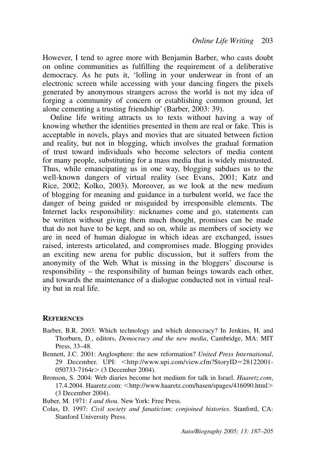However, I tend to agree more with Benjamin Barber, who casts doubt on online communities as fulfilling the requirement of a deliberative democracy. As he puts it, 'lolling in your underwear in front of an electronic screen while accessing with your dancing fingers the pixels generated by anonymous strangers across the world is not my idea of forging a community of concern or establishing common ground, let alone cementing a trusting friendship' (Barber, 2003: 39).

Online life writing attracts us to texts without having a way of knowing whether the identities presented in them are real or fake. This is acceptable in novels, plays and movies that are situated between fiction and reality, but not in blogging, which involves the gradual formation of trust toward individuals who become selectors of media content for many people, substituting for a mass media that is widely mistrusted. Thus, while emancipating us in one way, blogging subdues us to the well-known dangers of virtual reality (see Evans, 2001; Katz and Rice, 2002; Kolko, 2003). Moreover, as we look at the new medium of blogging for meaning and guidance in a turbulent world, we face the danger of being guided or misguided by irresponsible elements. The Internet lacks responsibility: nicknames come and go, statements can be written without giving them much thought, promises can be made that do not have to be kept, and so on, while as members of society we are in need of human dialogue in which ideas are exchanged, issues raised, interests articulated, and compromises made. Blogging provides an exciting new arena for public discussion, but it suffers from the anonymity of the Web. What is missing in the bloggers' discourse is responsibility – the responsibility of human beings towards each other, and towards the maintenance of a dialogue conducted not in virtual reality but in real life.

### **REFERENCES**

- Barber, B.R. 2003: Which technology and which democracy? In Jenkins, H. and Thorburn, D., editors, Democracy and the new media, Cambridge, MA: MIT Press, 33-48.
- Bennett, J.C. 2001: Anglosphere: the new reformation? United Press International, 29 December. UPI: <http://www.upi.com/view.cfm?StoryID=28122001- $050733 - 7164r > (3 December 2004).$
- Bronson, S. 2004: Web diaries become hot medium for talk in Israel. *Haaretz.com*, 17.4.2004. Haaretz.com: <http://www.haaretz.com/hasen/spages/416090.html> (3 December 2004).

Buber, M. 1971: *I and thou*. New York: Free Press.

Colas, D. 1997: Civil society and fanaticism: conjoined histories. Stanford, CA: **Stanford University Press.**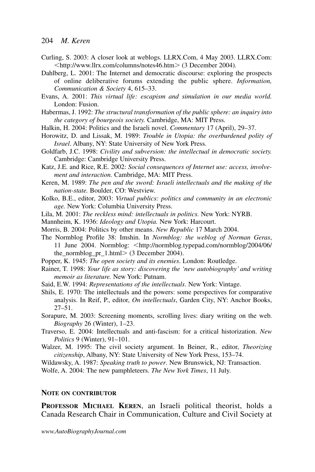- Curling, S. 2003: A closer look at weblogs. LLRX.Com, 4 May 2003. LLRX.Com: <http://www.llrx.com/columns/notes46.htm> (3 December 2004).
- Dahlberg, L. 2001: The Internet and democratic discourse: exploring the prospects of online deliberative forums extending the public sphere. Information, Communication & Society 4, 615-33.
- Evans, A. 2001: This virtual life: escapism and simulation in our media world. London: Fusion
- Habermas, J. 1992: The structural transformation of the public sphere: an inquiry into the category of bourgeois society. Cambridge, MA: MIT Press.
- Halkin, H. 2004: Politics and the Israeli novel. Commentary 17 (April), 29–37.
- Horowitz, D. and Lissak, M. 1989: Trouble in Utopia: the overburdened polity of Israel. Albany, NY: State University of New York Press.
- Goldfarb, J.C. 1998: Civility and subversion: the intellectual in democratic society. Cambridge: Cambridge University Press.
- Katz, J.E. and Rice, R.E. 2002: Social consequences of Internet use: access, involvement and interaction. Cambridge, MA: MIT Press.
- Keren, M. 1989: The pen and the sword: Israeli intellectuals and the making of the nation-state. Boulder, CO: Westview.
- Kolko, B.E., editor, 2003: Virtual publics: politics and community in an electronic age. New York: Columbia University Press.
- Lila, M. 2001: The reckless mind: intellectuals in politics. New York: NYRB.
- Mannheim, K. 1936: Ideology and Utopia. New York: Harcourt.
- Morris, B. 2004: Politics by other means. New Republic 17 March 2004.
- The Normblog Profile 38: Imshin. In Normblog: the weblog of Norman Geras, 11 June 2004. Normblog: <http://normblog.typepad.com/normblog/2004/06/ the\_normblog\_pr\_1.html>  $(3$  December 2004).
- Popper, K. 1945: The open society and its enemies. London: Routledge.
- Rainer, T. 1998: Your life as story: discovering the 'new autobiography' and writing *memoir as literature.* New York: Putnam.
- Said, E.W. 1994: Representations of the intellectuals. New York: Vintage.
- Shils, E. 1970: The intellectuals and the powers: some perspectives for comparative analysis. In Reif, P., editor, On intellectuals, Garden City, NY: Anchor Books,  $27 - 51$ .
- Sorapure, M. 2003: Screening moments, scrolling lives: diary writing on the web. Biography 26 (Winter), 1-23.
- Traverso, E. 2004: Intellectuals and anti-fascism: for a critical historization. New Politics 9 (Winter), 91-101.
- Walzer, M. 1995: The civil society argument. In Beiner, R., editor, Theorizing citizenship, Albany, NY: State University of New York Press, 153-74.
- Wildawsky, A. 1987: Speaking truth to power. New Brunswick, NJ: Transaction.

Wolfe, A. 2004: The new pamphleteers. The New York Times, 11 July.

## **NOTE ON CONTRIBUTOR**

PROFESSOR MICHAEL KEREN, an Israeli political theorist, holds a Canada Research Chair in Communication, Culture and Civil Society at